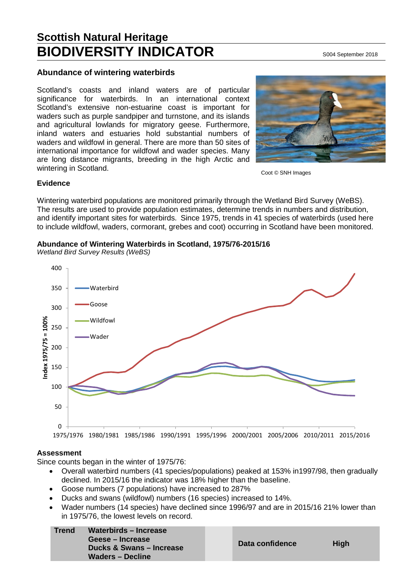# **Scottish Natural Heritage BIODIVERSITY INDICATOR** S004 September 2018

## **Abundance of wintering waterbirds**

Scotland's coasts and inland waters are of particular significance for waterbirds. In an international context Scotland's extensive non-estuarine coast is important for waders such as purple sandpiper and turnstone, and its islands and agricultural lowlands for migratory geese. Furthermore, inland waters and estuaries hold substantial numbers of waders and wildfowl in general. There are more than 50 sites of international importance for wildfowl and wader species. Many are long distance migrants, breeding in the high Arctic and wintering in Scotland.



Coot © SNH Images

## **Evidence**

Wintering waterbird populations are monitored primarily through the Wetland Bird Survey (WeBS). The results are used to provide population estimates, determine trends in numbers and distribution, and identify important sites for waterbirds. Since 1975, trends in 41 species of waterbirds (used here to include wildfowl, waders, cormorant, grebes and coot) occurring in Scotland have been monitored.

**Abundance of Wintering Waterbirds in Scotland, 1975/76-2015/16**



*Wetland Bird Survey Results (WeBS)*

#### **Assessment**

Since counts began in the winter of 1975/76:

- Overall waterbird numbers (41 species/populations) peaked at 153% in1997/98, then gradually declined. In 2015/16 the indicator was 18% higher than the baseline.
- Goose numbers (7 populations) have increased to 287%
- Ducks and swans (wildfowl) numbers (16 species) increased to 14%.
- Wader numbers (14 species) have declined since 1996/97 and are in 2015/16 21% lower than in 1975/76, the lowest levels on record.

| <b>Trend</b> | Waterbirds – Increase<br>Geese – Increase<br>Ducks & Swans – Increase<br><b>Waders – Decline</b> | Da |
|--------------|--------------------------------------------------------------------------------------------------|----|
|              |                                                                                                  |    |

**Data confidence High**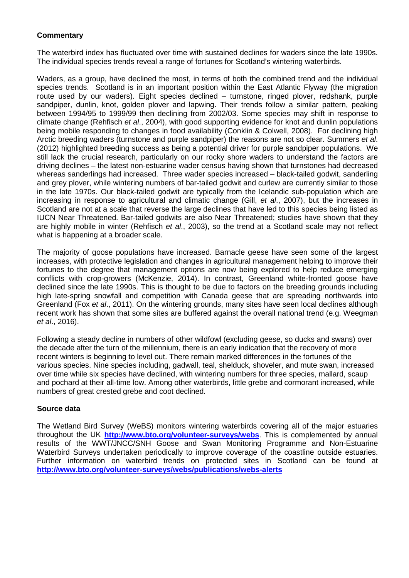# **Commentary**

The waterbird index has fluctuated over time with sustained declines for waders since the late 1990s. The individual species trends reveal a range of fortunes for Scotland's wintering waterbirds.

Waders, as a group, have declined the most, in terms of both the combined trend and the individual species trends. Scotland is in an important position within the East Atlantic Flyway (the migration route used by our waders). Eight species declined – turnstone, ringed plover, redshank, purple sandpiper, dunlin, knot, golden plover and lapwing. Their trends follow a similar pattern, peaking between 1994/95 to 1999/99 then declining from 2002/03. Some species may shift in response to climate change (Rehfisch *et al*., 2004), with good supporting evidence for knot and dunlin populations being mobile responding to changes in food availability (Conklin & Colwell, 2008). For declining high Arctic breeding waders (turnstone and purple sandpiper) the reasons are not so clear. Summers *et al*. (2012) highlighted breeding success as being a potential driver for purple sandpiper populations. We still lack the crucial research, particularly on our rocky shore waders to understand the factors are driving declines – the latest non-estuarine wader census having shown that turnstones had decreased whereas sanderlings had increased. Three wader species increased – black-tailed godwit, sanderling and grey plover, while wintering numbers of bar-tailed godwit and curlew are currently similar to those in the late 1970s. Our black-tailed godwit are typically from the Icelandic sub-population which are increasing in response to agricultural and climatic change (Gill, *et al*., 2007), but the increases in Scotland are not at a scale that reverse the large declines that have led to this species being listed as IUCN Near Threatened. Bar-tailed godwits are also Near Threatened; studies have shown that they are highly mobile in winter (Rehfisch *et al*., 2003), so the trend at a Scotland scale may not reflect what is happening at a broader scale.

The majority of goose populations have increased. Barnacle geese have seen some of the largest increases, with protective legislation and changes in agricultural management helping to improve their fortunes to the degree that management options are now being explored to help reduce emerging conflicts with crop-growers (McKenzie, 2014). In contrast, Greenland white-fronted goose have declined since the late 1990s. This is thought to be due to factors on the breeding grounds including high late-spring snowfall and competition with Canada geese that are spreading northwards into Greenland (Fox *et al*., 2011). On the wintering grounds, many sites have seen local declines although recent work has shown that some sites are buffered against the overall national trend (e.g. Weegman *et al*., 2016).

Following a steady decline in numbers of other wildfowl (excluding geese, so ducks and swans) over the decade after the turn of the millennium, there is an early indication that the recovery of more recent winters is beginning to level out. There remain marked differences in the fortunes of the various species. Nine species including, gadwall, teal, shelduck, shoveler, and mute swan, increased over time while six species have declined, with wintering numbers for three species, mallard, scaup and pochard at their all-time low. Among other waterbirds, little grebe and cormorant increased, while numbers of great crested grebe and coot declined.

## **Source data**

The Wetland Bird Survey (WeBS) monitors wintering waterbirds covering all of the major estuaries throughout the UK **<http://www.bto.org/volunteer-surveys/webs>**. This is complemented by annual results of the WWT/JNCC/SNH Goose and Swan Monitoring Programme and Non-Estuarine Waterbird Surveys undertaken periodically to improve coverage of the coastline outside estuaries. Further information on waterbird trends on protected sites in Scotland can be found at **<http://www.bto.org/volunteer-surveys/webs/publications/webs-alerts>**